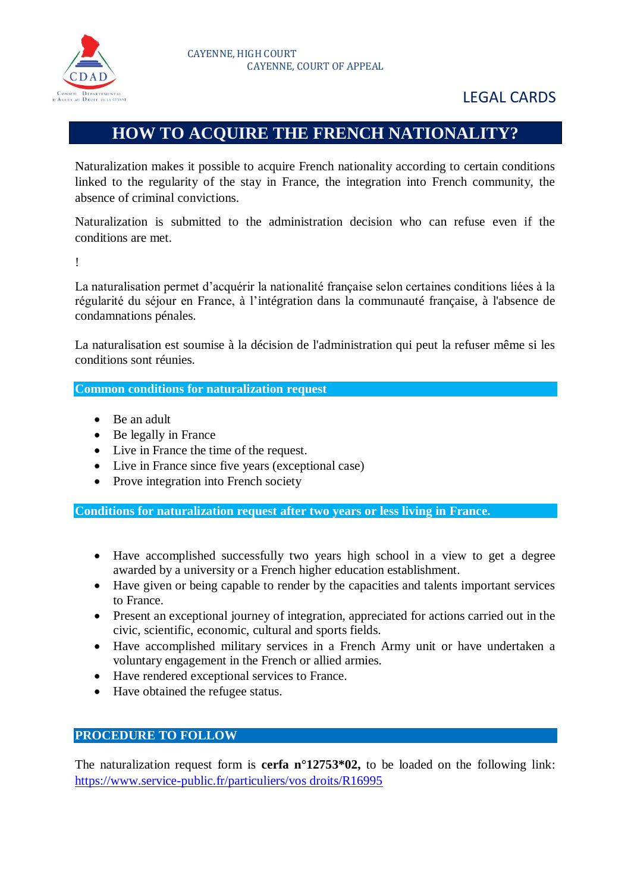

# LEGAL CARDS

# **HOW TO ACQUIRE THE FRENCH NATIONALITY?**

Naturalization makes it possible to acquire French nationality according to certain conditions linked to the regularity of the stay in France, the integration into French community, the absence of criminal convictions.

Naturalization is submitted to the administration decision who can refuse even if the conditions are met.

!

La naturalisation permet d'acquérir la nationalité française selon certaines conditions liées à la régularité du séjour en France, à l'intégration dans la communauté française, à l'absence de condamnations pénales.

La naturalisation est soumise à la décision de l'administration qui peut la refuser même si les conditions sont réunies.

**Common conditions for naturalization request**

- Be an adult
- Be legally in France
- Live in France the time of the request.
- Live in France since five years (exceptional case)
- Prove integration into French society

**Conditions for naturalization request after two years or less living in France.**

- Have accomplished successfully two years high school in a view to get a degree awarded by a university or a French higher education establishment.
- Have given or being capable to render by the capacities and talents important services to France.
- Present an exceptional journey of integration, appreciated for actions carried out in the civic, scientific, economic, cultural and sports fields.
- Have accomplished military services in a French Army unit or have undertaken a voluntary engagement in the French or allied armies.
- Have rendered exceptional services to France.
- Have obtained the refugee status.

## **PROCEDURE TO FOLLOW**

The naturalization request form is **cerfa n°12753\*02,** to be loaded on the following link: [https://www.service-public.fr/particuliers/vos droits/R16995](https://www.service-public.fr/particuliers/vos%20droits/R16995)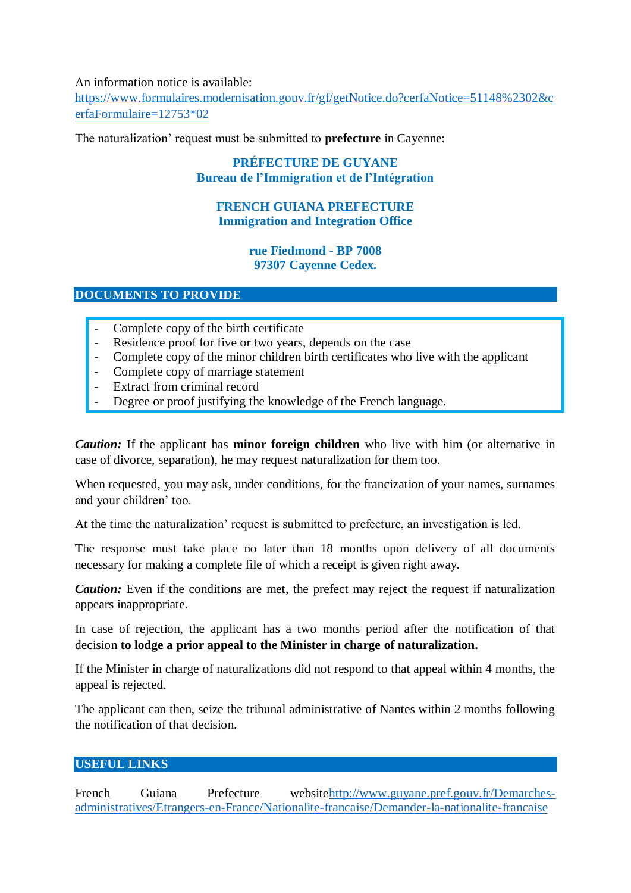### An information notice is available:

[https://www.formulaires.modernisation.gouv.fr/gf/getNotice.do?cerfaNotice=51148%2302&c](https://www.formulaires.modernisation.gouv.fr/gf/getNotice.do?cerfaNotice=51148%2302&cerfaFormulaire=12753*02) [erfaFormulaire=12753\\*02](https://www.formulaires.modernisation.gouv.fr/gf/getNotice.do?cerfaNotice=51148%2302&cerfaFormulaire=12753*02)

The naturalization' request must be submitted to **prefecture** in Cayenne:

## **PRÉFECTURE DE GUYANE Bureau de l'Immigration et de l'Intégration**

## **FRENCH GUIANA PREFECTURE Immigration and Integration Office**

#### **rue Fiedmond - BP 7008 97307 Cayenne Cedex.**

**DOCUMENTS TO PROVIDE**

- Complete copy of the birth certificate
- Residence proof for five or two years, depends on the case
- Complete copy of the minor children birth certificates who live with the applicant
- Complete copy of marriage statement
- Extract from criminal record
- Degree or proof justifying the knowledge of the French language.

*Caution:* If the applicant has **minor foreign children** who live with him (or alternative in case of divorce, separation), he may request naturalization for them too.

When requested, you may ask, under conditions, for the francization of your names, surnames and your children' too.

At the time the naturalization' request is submitted to prefecture, an investigation is led.

The response must take place no later than 18 months upon delivery of all documents necessary for making a complete file of which a receipt is given right away.

*Caution:* Even if the conditions are met, the prefect may reject the request if naturalization appears inappropriate.

In case of rejection, the applicant has a two months period after the notification of that decision **to lodge a prior appeal to the Minister in charge of naturalization.**

If the Minister in charge of naturalizations did not respond to that appeal within 4 months, the appeal is rejected.

The applicant can then, seize the tribunal administrative of Nantes within 2 months following the notification of that decision.

### **USEFUL LINKS**

French Guiana Prefecture websit[ehttp://www.guyane.pref.gouv.fr/Demarches](http://www.guyane.pref.gouv.fr/Demarches-administratives/Etrangers-en-France/Nationalite-francaise/Demander-la-nationalite-francaise)[administratives/Etrangers-en-France/Nationalite-francaise/Demander-la-nationalite-francaise](http://www.guyane.pref.gouv.fr/Demarches-administratives/Etrangers-en-France/Nationalite-francaise/Demander-la-nationalite-francaise)